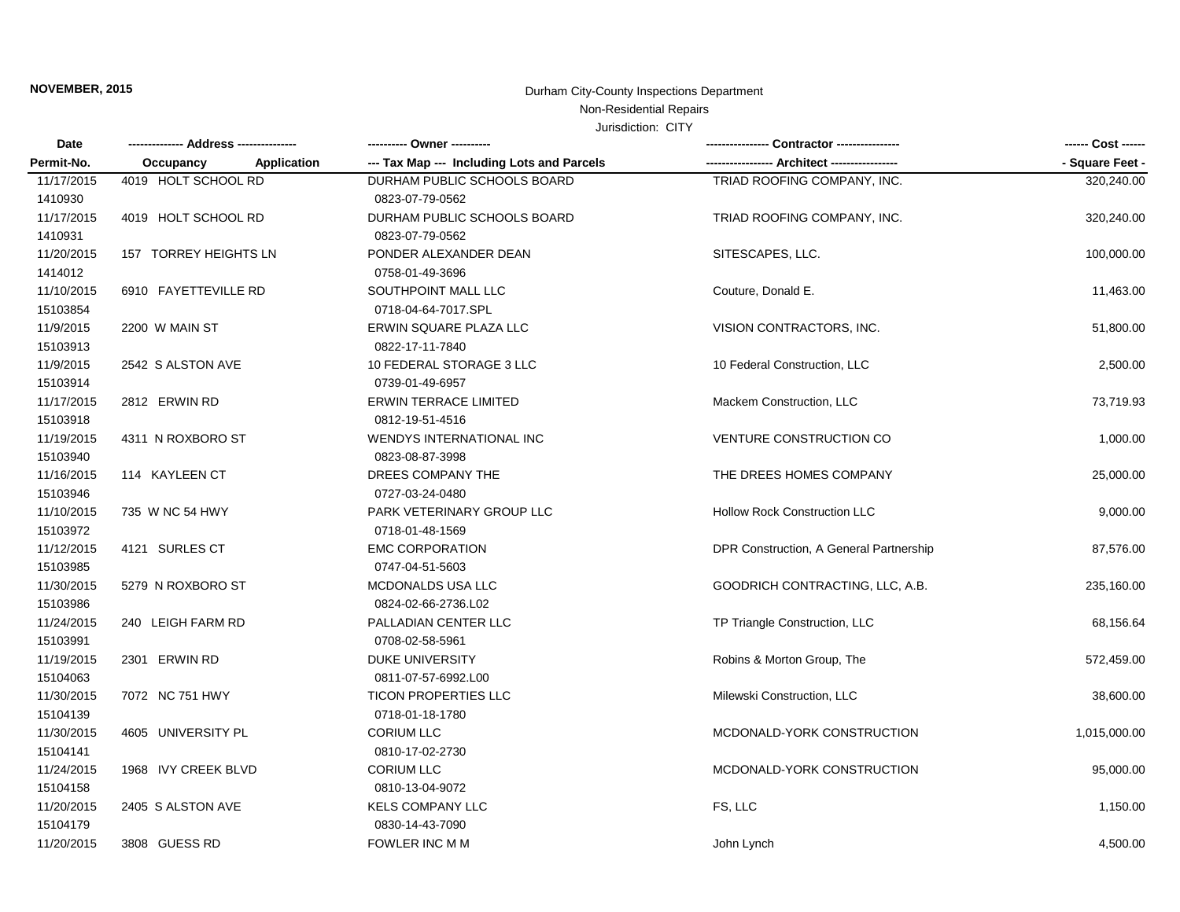# **NOVEMBER, 2015** Durham City-County Inspections Department

## Non-Residential Repairs

### Jurisdiction: CITY

| Date       |                          |                                            |                                         | ------ Cost ------ |
|------------|--------------------------|--------------------------------------------|-----------------------------------------|--------------------|
| Permit-No. | Occupancy<br>Application | --- Tax Map --- Including Lots and Parcels |                                         | - Square Feet -    |
| 11/17/2015 | 4019 HOLT SCHOOL RD      | DURHAM PUBLIC SCHOOLS BOARD                | TRIAD ROOFING COMPANY, INC.             | 320,240.00         |
| 1410930    |                          | 0823-07-79-0562                            |                                         |                    |
| 11/17/2015 | 4019 HOLT SCHOOL RD      | DURHAM PUBLIC SCHOOLS BOARD                | TRIAD ROOFING COMPANY, INC.             | 320,240.00         |
| 1410931    |                          | 0823-07-79-0562                            |                                         |                    |
| 11/20/2015 | 157 TORREY HEIGHTS LN    | PONDER ALEXANDER DEAN                      | SITESCAPES, LLC.                        | 100,000.00         |
| 1414012    |                          | 0758-01-49-3696                            |                                         |                    |
| 11/10/2015 | 6910 FAYETTEVILLE RD     | SOUTHPOINT MALL LLC                        | Couture, Donald E.                      | 11,463.00          |
| 15103854   |                          | 0718-04-64-7017.SPL                        |                                         |                    |
| 11/9/2015  | 2200 W MAIN ST           | ERWIN SQUARE PLAZA LLC                     | VISION CONTRACTORS, INC.                | 51,800.00          |
| 15103913   |                          | 0822-17-11-7840                            |                                         |                    |
| 11/9/2015  | 2542 S ALSTON AVE        | 10 FEDERAL STORAGE 3 LLC                   | 10 Federal Construction, LLC            | 2,500.00           |
| 15103914   |                          | 0739-01-49-6957                            |                                         |                    |
| 11/17/2015 | 2812 ERWIN RD            | ERWIN TERRACE LIMITED                      | Mackem Construction, LLC                | 73,719.93          |
| 15103918   |                          | 0812-19-51-4516                            |                                         |                    |
| 11/19/2015 | 4311 N ROXBORO ST        | WENDYS INTERNATIONAL INC                   | <b>VENTURE CONSTRUCTION CO</b>          | 1,000.00           |
| 15103940   |                          | 0823-08-87-3998                            |                                         |                    |
| 11/16/2015 | 114 KAYLEEN CT           | DREES COMPANY THE                          | THE DREES HOMES COMPANY                 | 25,000.00          |
| 15103946   |                          | 0727-03-24-0480                            |                                         |                    |
| 11/10/2015 | 735 W NC 54 HWY          | PARK VETERINARY GROUP LLC                  | <b>Hollow Rock Construction LLC</b>     | 9,000.00           |
| 15103972   |                          | 0718-01-48-1569                            |                                         |                    |
| 11/12/2015 | 4121 SURLES CT           | <b>EMC CORPORATION</b>                     | DPR Construction, A General Partnership | 87,576.00          |
| 15103985   |                          | 0747-04-51-5603                            |                                         |                    |
| 11/30/2015 | 5279 N ROXBORO ST        | MCDONALDS USA LLC                          | GOODRICH CONTRACTING, LLC, A.B.         | 235,160.00         |
| 15103986   |                          | 0824-02-66-2736.L02                        |                                         |                    |
| 11/24/2015 | 240 LEIGH FARM RD        | PALLADIAN CENTER LLC                       | TP Triangle Construction, LLC           | 68,156.64          |
| 15103991   |                          | 0708-02-58-5961                            |                                         |                    |
| 11/19/2015 | 2301 ERWIN RD            | <b>DUKE UNIVERSITY</b>                     | Robins & Morton Group, The              | 572,459.00         |
| 15104063   |                          | 0811-07-57-6992.L00                        |                                         |                    |
| 11/30/2015 | 7072 NC 751 HWY          | <b>TICON PROPERTIES LLC</b>                | Milewski Construction, LLC              | 38,600.00          |
| 15104139   |                          | 0718-01-18-1780                            |                                         |                    |
| 11/30/2015 | 4605 UNIVERSITY PL       | <b>CORIUM LLC</b>                          | MCDONALD-YORK CONSTRUCTION              | 1,015,000.00       |
| 15104141   |                          | 0810-17-02-2730                            |                                         |                    |
| 11/24/2015 | 1968 IVY CREEK BLVD      | <b>CORIUM LLC</b>                          | MCDONALD-YORK CONSTRUCTION              | 95,000.00          |
| 15104158   |                          | 0810-13-04-9072                            |                                         |                    |
| 11/20/2015 | 2405 S ALSTON AVE        | <b>KELS COMPANY LLC</b>                    | FS, LLC                                 | 1,150.00           |
| 15104179   |                          | 0830-14-43-7090                            |                                         |                    |
| 11/20/2015 | 3808 GUESS RD            | FOWLER INC M M                             | John Lynch                              | 4,500.00           |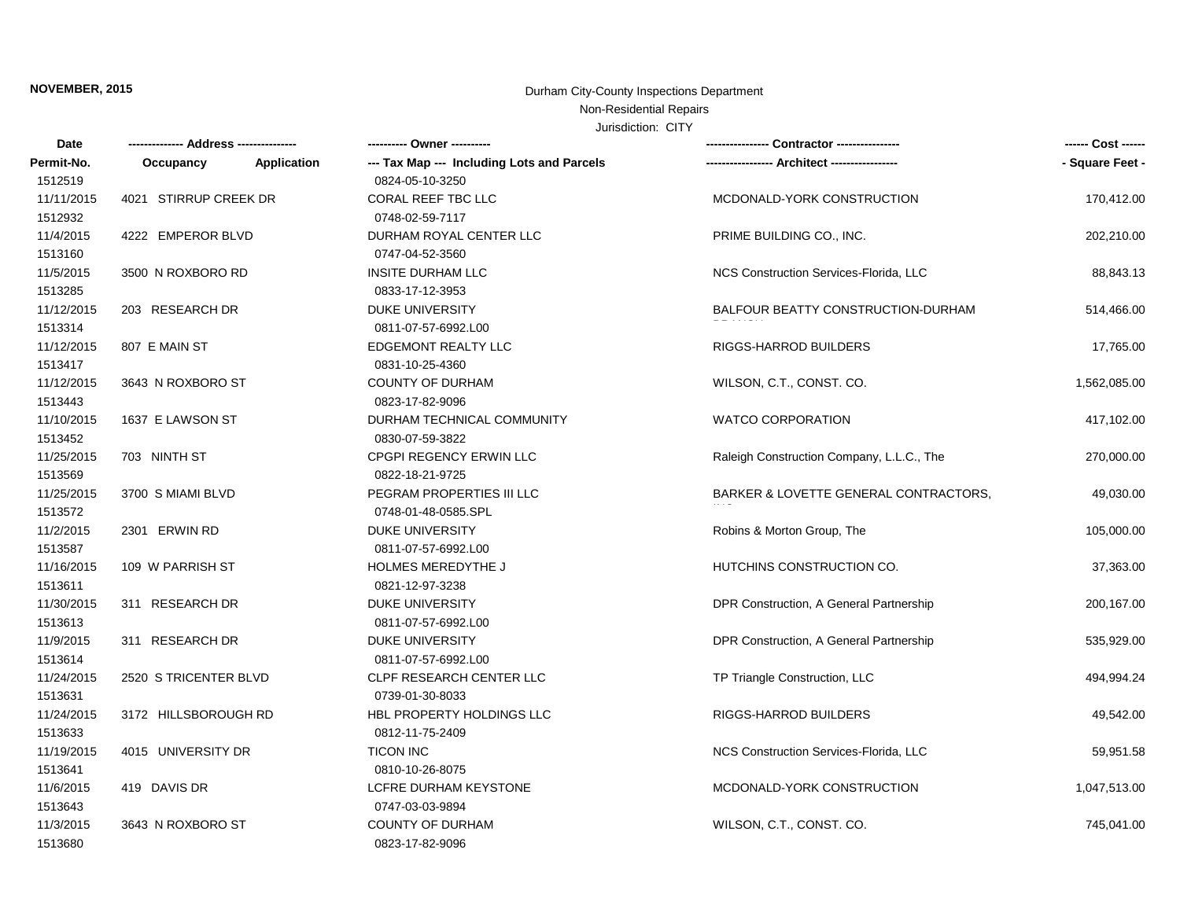# **NOVEMBER, 2015** Durham City-County Inspections Department

## Non-Residential Repairs

#### Jurisdiction: CITY

| Date       |                       |             | ---------- Owner ----------                |                                           | ------ Cost ------ |
|------------|-----------------------|-------------|--------------------------------------------|-------------------------------------------|--------------------|
| Permit-No. | Occupancy             | Application | --- Tax Map --- Including Lots and Parcels | ---- Architect ----------                 | - Square Feet -    |
| 1512519    |                       |             | 0824-05-10-3250                            |                                           |                    |
| 11/11/2015 | 4021 STIRRUP CREEK DR |             | CORAL REEF TBC LLC                         | MCDONALD-YORK CONSTRUCTION                | 170,412.00         |
| 1512932    |                       |             | 0748-02-59-7117                            |                                           |                    |
| 11/4/2015  | 4222 EMPEROR BLVD     |             | DURHAM ROYAL CENTER LLC                    | PRIME BUILDING CO., INC.                  | 202,210.00         |
| 1513160    |                       |             | 0747-04-52-3560                            |                                           |                    |
| 11/5/2015  | 3500 N ROXBORO RD     |             | <b>INSITE DURHAM LLC</b>                   | NCS Construction Services-Florida, LLC    | 88,843.13          |
| 1513285    |                       |             | 0833-17-12-3953                            |                                           |                    |
| 11/12/2015 | 203 RESEARCH DR       |             | DUKE UNIVERSITY                            | BALFOUR BEATTY CONSTRUCTION-DURHAM        | 514,466.00         |
| 1513314    |                       |             | 0811-07-57-6992.L00                        |                                           |                    |
| 11/12/2015 | 807 E MAIN ST         |             | EDGEMONT REALTY LLC                        | RIGGS-HARROD BUILDERS                     | 17,765.00          |
| 1513417    |                       |             | 0831-10-25-4360                            |                                           |                    |
| 11/12/2015 | 3643 N ROXBORO ST     |             | <b>COUNTY OF DURHAM</b>                    | WILSON, C.T., CONST. CO.                  | 1,562,085.00       |
| 1513443    |                       |             | 0823-17-82-9096                            |                                           |                    |
| 11/10/2015 | 1637 E LAWSON ST      |             | DURHAM TECHNICAL COMMUNITY                 | <b>WATCO CORPORATION</b>                  | 417,102.00         |
| 1513452    |                       |             | 0830-07-59-3822                            |                                           |                    |
| 11/25/2015 | 703 NINTH ST          |             | CPGPI REGENCY ERWIN LLC                    | Raleigh Construction Company, L.L.C., The | 270,000.00         |
| 1513569    |                       |             | 0822-18-21-9725                            |                                           |                    |
| 11/25/2015 | 3700 S MIAMI BLVD     |             | PEGRAM PROPERTIES III LLC                  | BARKER & LOVETTE GENERAL CONTRACTORS.     | 49,030.00          |
| 1513572    |                       |             | 0748-01-48-0585.SPL                        |                                           |                    |
| 11/2/2015  | 2301 ERWIN RD         |             | DUKE UNIVERSITY                            | Robins & Morton Group, The                | 105,000.00         |
| 1513587    |                       |             | 0811-07-57-6992.L00                        |                                           |                    |
| 11/16/2015 | 109 W PARRISH ST      |             | <b>HOLMES MEREDYTHE J</b>                  | HUTCHINS CONSTRUCTION CO.                 | 37,363.00          |
| 1513611    |                       |             | 0821-12-97-3238                            |                                           |                    |
| 11/30/2015 | 311 RESEARCH DR       |             | DUKE UNIVERSITY                            | DPR Construction, A General Partnership   | 200,167.00         |
| 1513613    |                       |             | 0811-07-57-6992.L00                        |                                           |                    |
| 11/9/2015  | 311 RESEARCH DR       |             | <b>DUKE UNIVERSITY</b>                     | DPR Construction, A General Partnership   | 535,929.00         |
| 1513614    |                       |             | 0811-07-57-6992.L00                        |                                           |                    |
| 11/24/2015 | 2520 S TRICENTER BLVD |             | CLPF RESEARCH CENTER LLC                   | TP Triangle Construction, LLC             | 494,994.24         |
| 1513631    |                       |             | 0739-01-30-8033                            |                                           |                    |
| 11/24/2015 | 3172 HILLSBOROUGH RD  |             | <b>HBL PROPERTY HOLDINGS LLC</b>           | <b>RIGGS-HARROD BUILDERS</b>              | 49,542.00          |
| 1513633    |                       |             | 0812-11-75-2409                            |                                           |                    |
| 11/19/2015 | 4015 UNIVERSITY DR    |             | <b>TICON INC</b>                           | NCS Construction Services-Florida, LLC    | 59,951.58          |
| 1513641    |                       |             | 0810-10-26-8075                            |                                           |                    |
| 11/6/2015  | 419 DAVIS DR          |             | LCFRE DURHAM KEYSTONE                      | MCDONALD-YORK CONSTRUCTION                | 1,047,513.00       |
| 1513643    |                       |             | 0747-03-03-9894                            |                                           |                    |
| 11/3/2015  | 3643 N ROXBORO ST     |             | <b>COUNTY OF DURHAM</b>                    | WILSON, C.T., CONST. CO.                  | 745,041.00         |
| 1513680    |                       |             | 0823-17-82-9096                            |                                           |                    |